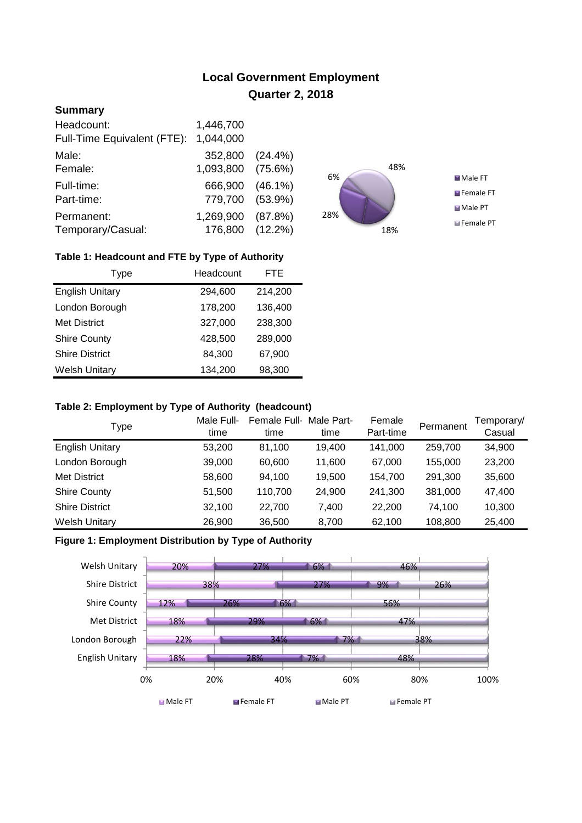# **Local Government Employment Quarter 2, 2018**

# **Summary**

| Headcount:<br>Full-Time Equivalent (FTE): | 1,446,700<br>1,044,000       |            |
|-------------------------------------------|------------------------------|------------|
| Male:                                     | 352,800                      | $(24.4\%)$ |
| Female:                                   | 1,093,800                    | (75.6%)    |
| Full-time:                                | 666,900                      | $(46.1\%)$ |
| Part-time:                                | 779,700                      | $(53.9\%)$ |
| Permanent:<br>Temporary/Casual:           | 1,269,900<br>176,800 (12.2%) | (87.8%)    |



## **Table 1: Headcount and FTE by Type of Authority**

| Type                   | Headcount | FTE     |
|------------------------|-----------|---------|
| <b>English Unitary</b> | 294,600   | 214,200 |
| London Borough         | 178,200   | 136,400 |
| <b>Met District</b>    | 327,000   | 238,300 |
| <b>Shire County</b>    | 428,500   | 289,000 |
| <b>Shire District</b>  | 84,300    | 67,900  |
| <b>Welsh Unitary</b>   | 134,200   | 98,300  |

### **Table 2: Employment by Type of Authority (headcount)**

| Type                   | Male Full-<br>time | Female Full-<br>time | Male Part-<br>time | Female<br>Part-time | Permanent | Femporary/<br>Casual |
|------------------------|--------------------|----------------------|--------------------|---------------------|-----------|----------------------|
| <b>English Unitary</b> | 53,200             | 81.100               | 19,400             | 141,000             | 259,700   | 34,900               |
| London Borough         | 39,000             | 60.600               | 11.600             | 67.000              | 155,000   | 23,200               |
| <b>Met District</b>    | 58,600             | 94,100               | 19,500             | 154,700             | 291,300   | 35,600               |
| <b>Shire County</b>    | 51,500             | 110,700              | 24,900             | 241.300             | 381,000   | 47,400               |
| <b>Shire District</b>  | 32,100             | 22.700               | 7.400              | 22,200              | 74.100    | 10,300               |
| <b>Welsh Unitary</b>   | 26,900             | 36,500               | 8,700              | 62,100              | 108,800   | 25,400               |

## **Figure 1: Employment Distribution by Type of Authority**